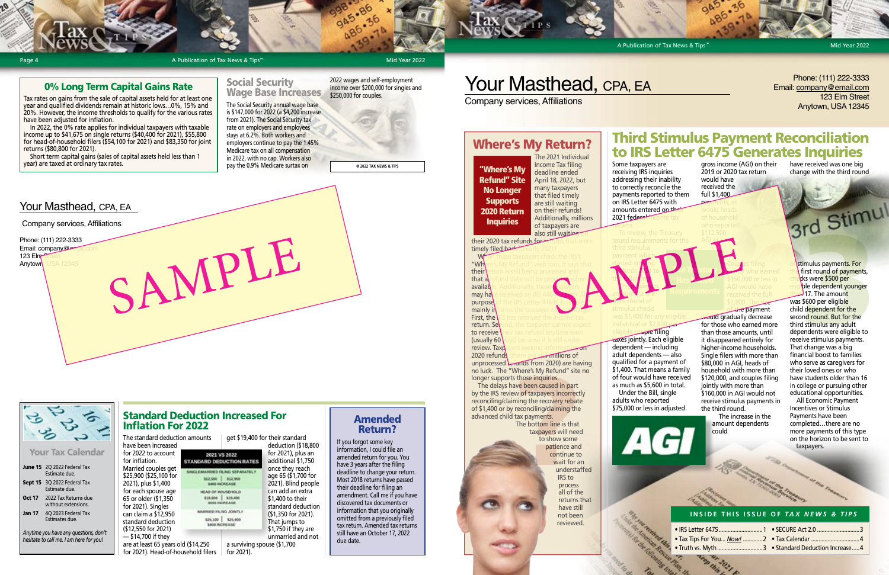A Publication of Tax News & Tips™

The 2021 Individual Income Tax filing deadline ended April 18, 2022, but many taxpayers that filed timely are still waiting on their refunds! Additionally, millions of taxpayers are<br>also still waiting also still waiting on

their 2020 tax refunds for timely filed back When these taxpayers check the IRS's

**"Wh**ere's My Refund" web tool, it says that their return is still being processed and that a refund date will be provided when available. Additionally, these <mark>taxpayers i</mark> may have received an IRS 4464C Letter. The purpose of the IRS Letter 4464C is simple. It mainly informs the taxpayer of two things. **First, the \RS** has received the income tax return. Se to receive (usually 60 $\overline{0}$ 

# Where's My Return?

review. Taxp 2020 refunds (there are still millions of unprocessed  $L$ -runds from 2020) are having no luck. The "Where's My Refund" site no longer supports those inquiries.

The bottom line is that taxpayers will need to show some patience and continue to wait for an understaffed IRS to process all of the returns that have still not been reviewed. Frames "one of taxpayers" and "one of taxpayers" and "one of taxpayers" incorrection and the method of taxpayers incorrect image the method of taxpayers incorrect image of the bottom line is that taxpayers will need to sho

The delays have been caused in part by the IRS review of taxpayers incorrectly reconciling/claiming the recovery rebate of \$1,400 or by reconciling/claiming the advanced child tax payments.

Some taxpayers are receiving IRS inquiries addressing their inability to correctly reconcile the payments reported to them on IRS Letter 6475 with amounts entered on the

# returns. payment which. started arr<mark>ivi</mark>ng **in March 7021 to** the **following: The Mximum** The that were<br>
Sample third stimulus<br>
Col. it says that<br>
that distinuities<br>
col. it says that<br>
started are the third started are the<br>
started are the started are the started are the started<br>
only it says that<br>
and archives

am **vunt for the** third round of

 $2021$  federal income

Mid Year 2022

Your Tax Calendar

|               | June 15 2Q 2022 Federal Tax<br><b>Fstimate due.</b> |
|---------------|-----------------------------------------------------|
|               | <b>Sept 15</b> 3Q 2022 Federal Tax<br>Estimate due. |
| <b>Oct 17</b> | 2022 Tax Returns due<br>without extensions.         |
| <b>Jan 17</b> | 4Q 2023 Federal Tax<br>Estimates due.               |

*Anytime you have any questions, don't hesitate to call me. I am here for you!*



# 0% Long Term Capital Gains Rate

Tax rates on gains from the sale of capital assets held for at least one year and qualified dividends remain at historic lows…0%, 15% and 20%. However, the income thresholds to qualify for the various rates have been adjusted for inflation.

**Page 4** Page 4 **A Publication of Tax News & Tips** 

In 2022, the 0% rate applies for individual taxpayers with taxable income up to \$41,675 on single returns (\$40,400 for 2021), \$55,800 for head-of-household filers (\$54,100 for 2021) and \$83,350 for joint returns (\$80,800 for 2021).

Short term capital gains (sales of capital assets held less than 1 year) are taxed at ordinary tax rates.

Your Masthead, CPA, EA

Mid Year 2022

# Your Masthead, CPA, EA

### **INSIDE THIS ISSUE OF** *TAX NEWS & TIPS*

 $\bullet$  IRS Letter 6475....

ue Pian Us

- 
- Truth vs. Myth......<br>Planet version 2021
- $1 \cdot$  SECURE Act 2.0 .........
- Tax Tips For You... *Now!* .............2 Tax Calendar ................................4
	- ....3 Standard Deduction Increase.....4

**© 2022 TAX NEWS & TIPS**

individual or \$2,800 per taxes jointly. Each eligible dependent — including

adult dependents — also qualified for a payment of \$1,400. That means a family as much as \$5,600 in total. Under the Bill, single adults who reported



of four would have received \$75,000 or less in adjusted

# Third Stimulus Payment Reconciliation to IRS Letter 6475 Generates Inquiries have received was one big

"Where's My Refund" Site No Longer **Supports** 2020 Return **Inquiries** 

gross income (AGI) on their 2019 or 2020 tax return would have received the

payments, as

AGI or less.

 $\mathcal{T}$  and  $\mathcal{T}$  as urg. Has *<u>Bacul</u>* 

full \$1,400

eligible filing

Phone: (111) 222-3333 Email: company@er

123 Elm<sup>-6</sup>



Couples filing **jointly who earned** 

would gradually decrease for those who earned more than those amounts, until it disappeared entirely for higher-income households. Single filers with more than \$80,000 in AGI, heads of household with more than \$120,000, and couples filing jointly with more than \$160,000 in AGI would not receive stimulus payments in the third round.

> The increase in the amount dependents could

stimulus payments. For first round of payments, ks were \$500 per ble dependent younger 17. The amount was \$600 per eligible child dependent for the second round. But for the third stimulus any adult dependents were eligible to receive stimulus payments. That change was a big financial boost to families who serve as caregivers for their loved ones or who have students older than 16 in college or pursuing other educational opportunities. Who reported<br>
S112,500<br>
AGI of the AGI of the AGI of the AGI of the AGI of the AGI of the S150,000 or less in<br>
S150,000 or less in the character of the S150,000 or less in the character of the S150,000 or less in<br>
The AGI

change with the third round

All Economic Payment Incentives or Stimulus Payments have been completed…there are no more payments of this type on the horizon to be sent to taxpayers.

## Social Security Wage Base Increases

The Social Security annual wage base is \$147,000 for 2022 (a \$4,200 increase from 2021). The Social Security tax rate on employers and employees stays at 6.2%. Both workers and employers continue to pay the 1.45% Medicare tax on all compensation in 2022, with no cap. Workers also pay the 0.9% Medicare surtax on

2022 wages and self-employment income over \$200,000 for singles and \$250,000 for couples.

# Amended Return?

If you forgot some key information, I could file an amended return for you. You have 3 years after the filing deadline to change your return. Most 2018 returns have passed their deadline for filing an amendment. Call me if you have discovered tax documents or information that you originally omitted from a previously filed tax return. Amended tax returns still have an October 17, 2022 due date.

### Standard Deduction Increased For Inflation For 2022 The standard deduction amounts get \$19,400 for their standard

AND LE

have been increased for 2022 to account 2021 VS 2022 for inflation. STANDARD DEDUCTION RATES Married couples get SINGLEMARKED FILING SEPARATELY \$25,900 (\$25,100 for 812,550 312,950 2021), plus \$1,400 5400 INCREASE for each spouse age GJOHRUCH 10 GAJN 65 or older (\$1,350 \$18,000 \$19,400 **B600 INCREASE** for 2021). Singles MARKED FILNG JONTLY can claim a \$12,950 825,100 825,900 standard deduction SBOO INCREASE (\$12,550 for 2021) — \$14,700 if they are at least 65 years old (\$14,250 for 2021). Head-of-household filers for 2021).

deduction (\$18,800 for 2021), plus an additional \$1,750 once they reach age 65 (\$1,700 for 2021). Blind people can add an extra \$1,400 to their standard deduction (\$1,350 for 2021). That jumps to \$1,750 if they are unmarried and not a surviving spouse (\$1,700

## Phone: (111) 222-3333 Email: company@email.com 123 Elm Street Anytown, USA 12345

Company services, Affiliations

Company services, Affiliations